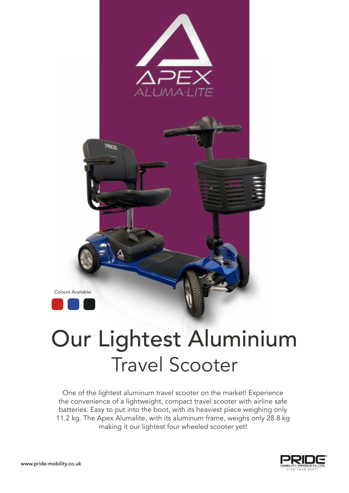

## Our Lightest Aluminium Travel Scooter

One of the lightest aluminum travel scooter on the market! Experience the convenience of a lightweight, compact travel scooter with airline safe batteries. Easy to put into the boot, with its heaviest piece weighing only 11.2 kg. The Apex Alumalite, with its aluminum frame, weighs only 28.8 kg making it our lightest four wheeled scooter yet!